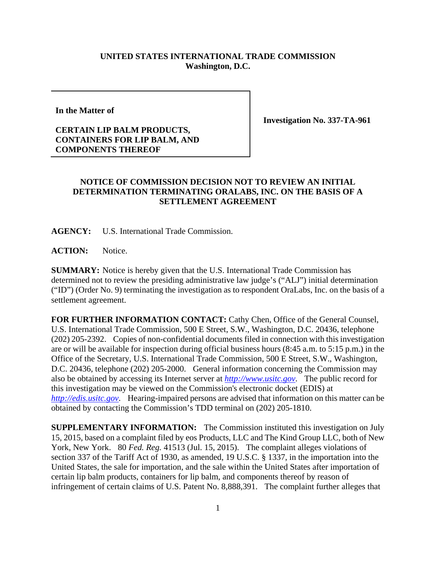## **UNITED STATES INTERNATIONAL TRADE COMMISSION Washington, D.C.**

**In the Matter of** 

## **CERTAIN LIP BALM PRODUCTS, CONTAINERS FOR LIP BALM, AND COMPONENTS THEREOF**

**Investigation No. 337-TA-961** 

## **NOTICE OF COMMISSION DECISION NOT TO REVIEW AN INITIAL DETERMINATION TERMINATING ORALABS, INC. ON THE BASIS OF A SETTLEMENT AGREEMENT**

**AGENCY:** U.S. International Trade Commission.

**ACTION:** Notice.

**SUMMARY:** Notice is hereby given that the U.S. International Trade Commission has determined not to review the presiding administrative law judge's ("ALJ") initial determination ("ID") (Order No. 9) terminating the investigation as to respondent OraLabs, Inc. on the basis of a settlement agreement.

**FOR FURTHER INFORMATION CONTACT:** Cathy Chen, Office of the General Counsel, U.S. International Trade Commission, 500 E Street, S.W., Washington, D.C. 20436, telephone (202) 205-2392. Copies of non-confidential documents filed in connection with this investigation are or will be available for inspection during official business hours (8:45 a.m. to 5:15 p.m.) in the Office of the Secretary, U.S. International Trade Commission, 500 E Street, S.W., Washington, D.C. 20436, telephone (202) 205-2000. General information concerning the Commission may also be obtained by accessing its Internet server at *http://www.usitc.gov*. The public record for this investigation may be viewed on the Commission's electronic docket (EDIS) at *http://edis.usitc.gov*. Hearing-impaired persons are advised that information on this matter can be obtained by contacting the Commission's TDD terminal on (202) 205-1810.

**SUPPLEMENTARY INFORMATION:** The Commission instituted this investigation on July 15, 2015, based on a complaint filed by eos Products, LLC and The Kind Group LLC, both of New York, New York. 80 *Fed. Reg.* 41513 (Jul. 15, 2015). The complaint alleges violations of section 337 of the Tariff Act of 1930, as amended, 19 U.S.C. § 1337, in the importation into the United States, the sale for importation, and the sale within the United States after importation of certain lip balm products, containers for lip balm, and components thereof by reason of infringement of certain claims of U.S. Patent No. 8,888,391. The complaint further alleges that